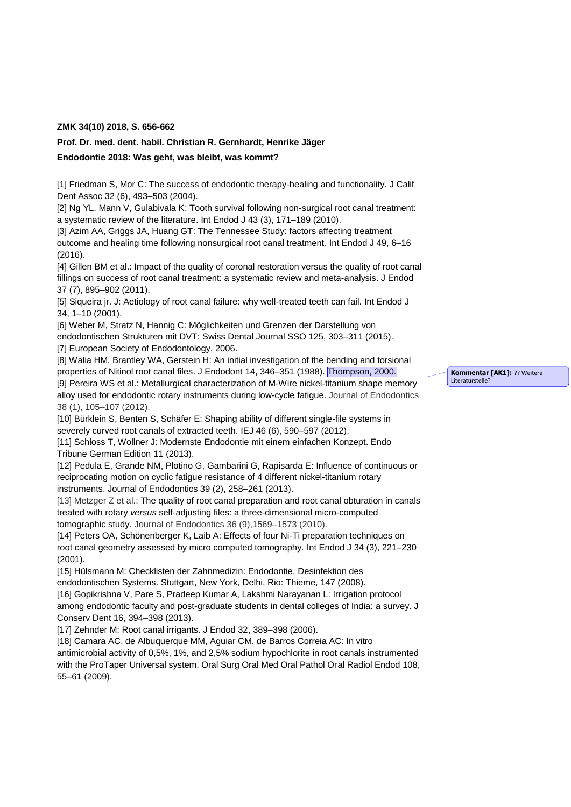## **ZMK 34(10) 2018, S. 656-662**

## **Prof. Dr. med. dent. habil. Christian R. Gernhardt, Henrike Jäger**

## **Endodontie 2018: Was geht, was bleibt, was kommt?**

[1] Friedman S, Mor C: The success of endodontic therapy-healing and functionality. [J Calif](https://www.ncbi.nlm.nih.gov/pubmed/15344440)  [Dent Assoc](https://www.ncbi.nlm.nih.gov/pubmed/15344440) 32 (6), 493–503 (2004).

[2] Ng YL, Mann V, Gulabivala K: Tooth survival following non-surgical root canal treatment: a systematic review of the literature. [Int Endod J](https://www.ncbi.nlm.nih.gov/pubmed/20158529) 43 (3), 171–189 (2010).

[3] Azim AA, Griggs JA, Huang GT: The Tennessee Study: factors affecting treatment outcome and healing time following nonsurgical root canal treatment. Int Endod J 49, 6–16 (2016).

[4] Gillen BM et al.: Impact of the quality of coronal restoration versus the quality of root canal fillings on success of root canal treatment: a systematic review and meta-analysis. J Endod 37 (7), 895–902 (2011).

[5] Siqueira jr. J: Aetiology of root canal failure: why well-treated teeth can fail. Int Endod J 34, 1–10 (2001).

[6] Weber M, Stratz N, Hannig C: Möglichkeiten und Grenzen der Darstellung von endodontischen Strukturen mit DVT: Swiss Dental Journal SSO 125, 303–311 (2015). [7] European Society of Endodontology, 2006.

[8] Walia HM, Brantley WA, Gerstein H: An initial investigation of the bending and torsional properties of Nitinol root canal files. J Endodont 14, 346-351 (1988). Thompson, 2000. [9] Pereira WS et al.: Metallurgical characterization of M-Wire nickel-titanium shape memory alloy used for endodontic rotary instruments during low-cycle fatigue. Journal of Endodontics 38 (1), 105–107 (2012).

[10] Bürklein S, Benten S, Schäfer E: Shaping ability of different single-file systems in severely curved root canals of extracted teeth. IEJ 46 (6), 590–597 (2012).

[11] Schloss T, Wollner J: Modernste Endodontie mit einem einfachen Konzept. Endo Tribune German Edition 11 (2013).

[12] Pedula E, Grande NM, Plotino G, Gambarini G, Rapisarda E: Influence of continuous or reciprocating motion on cyclic fatigue resistance of 4 different nickel-titanium rotary instruments. Journal of Endodontics 39 (2), 258–261 (2013).

[13] Metzger Z et al.: The quality of root canal preparation and root canal obturation in canals treated with rotary *versus* self-adjusting files: a three-dimensional micro-computed tomographic study. Journal of Endodontics 36 (9),1569–1573 (2010).

[14] Peters OA, Schönenberger K, Laib A: Effects of four Ni-Ti preparation techniques on root canal geometry assessed by micro computed tomography. Int Endod J 34 (3), 221–230 (2001).

[15] Hülsmann M: Checklisten der Zahnmedizin: Endodontie, Desinfektion des endodontischen Systems. Stuttgart, New York, Delhi, Rio: Thieme, 147 (2008).

[16] Gopikrishna V, Pare S, Pradeep Kumar A, Lakshmi Narayanan L: Irrigation protocol among endodontic faculty and post-graduate students in dental colleges of India: a survey. J Conserv Dent 16, 394–398 (2013).

[17] Zehnder M: Root canal irrigants. J Endod 32, 389-398 (2006).

[18] Camara AC, de Albuquerque MM, Aguiar CM, de Barros Correia AC: In vitro antimicrobial activity of 0,5%, 1%, and 2,5% sodium hypochlorite in root canals instrumented with the ProTaper Universal system. Oral Surg Oral Med Oral Pathol Oral Radiol Endod 108, 55–61 (2009).

**Kommentar [AK1]:** ?? Weitere Literaturstelle?